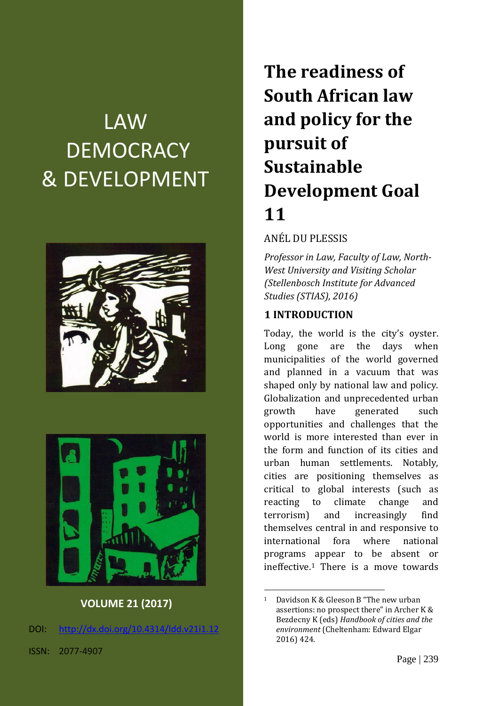# LAW **DEMOCRACY** & DEVELOPMENT





#### **VOLUME 21 (2017)**

<span id="page-0-0"></span>DOI: [http://dx.doi.org/10.4314/ldd.v21i1.1](http://dx.doi.org/10.4314/ldd.v21i1.)2

ISSN: 2077-4907

# **The readiness of South African law and policy for the pursuit of Sustainable Development Goal 11**

# ANÉL DU PLESSIS

*Professor in Law, Faculty of Law, North-West University and Visiting Scholar (Stellenbosch Institute for Advanced Studies (STIAS), 2016)*

#### **1 INTRODUCTION**

Today, the world is the city's oyster. Long gone are the days when municipalities of the world governed and planned in a vacuum that was shaped only by national law and policy. Globalization and unprecedented urban growth have generated such opportunities and challenges that the world is more interested than ever in the form and function of its cities and urban human settlements. Notably, cities are positioning themselves as critical to global interests (such as reacting to climate change and terrorism) and increasingly find themselves central in and responsive to<br>international fora where national international fora where national programs appear to be absent or ineffective.[1](#page-0-0) There is a move towards

Davidson K & Gleeson B "The new urban assertions: no prospect there" in Archer K & Bezdecny K (eds) *Handbook of cities and the environment* (Cheltenham: Edward Elgar 2016) 424.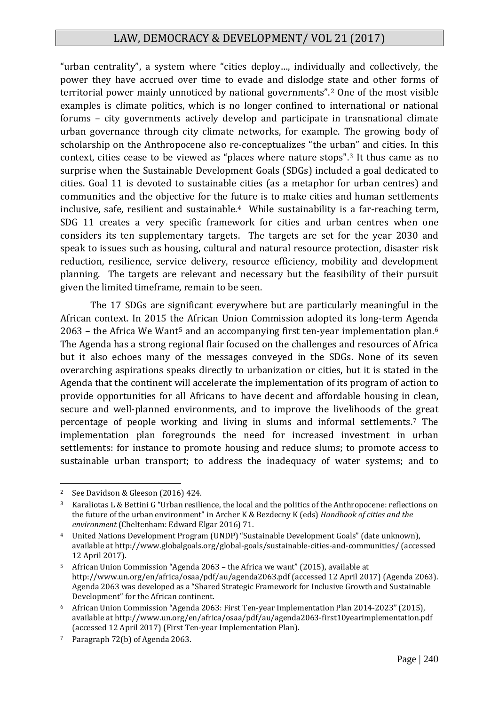"urban centrality", a system where "cities deploy…, individually and collectively, the power they have accrued over time to evade and dislodge state and other forms of territorial power mainly unnoticed by national governments".[2](#page-1-0) One of the most visible examples is climate politics, which is no longer confined to international or national forums – city governments actively develop and participate in transnational climate urban governance through city climate networks, for example. The growing body of scholarship on the Anthropocene also re-conceptualizes "the urb[an](#page-1-1)" and cities. In this context, cities cease to be viewed as "places where nature stops". <sup>3</sup> It thus came as no surprise when the Sustainable Development Goals (SDGs) included a goal dedicated to cities. Goal 11 is devoted to sustainable cities (as a metaphor for urban centres) and communities and the objective for the future is to make cities and human settlements inclusive, safe, resilient and sustainable.[4](#page-1-2) While sustainability is a far-reaching term, SDG 11 creates a very specific framework for cities and urban centres when one considers its ten supplementary targets. The targets are set for the year 2030 and speak to issues such as housing, cultural and natural resource protection, disaster risk reduction, resilience, service delivery, resource efficiency, mobility and development planning. The targets are relevant and necessary but the feasibility of their pursuit given the limited timeframe, remain to be seen.

The 17 SDGs are significant everywhere but are particularly meaningful in the African context. In 2015 the African Union Commission adopted its long-term Agenda 2063 – the Africa We Want<sup>[5](#page-1-3)</sup> and an accompanying first ten-year implementation plan.<sup>[6](#page-1-4)</sup> The Agenda has a strong regional flair focused on the challenges and resources of Africa but it also echoes many of the messages conveyed in the SDGs. None of its seven overarching aspirations speaks directly to urbanization or cities, but it is stated in the Agenda that the continent will accelerate the implementation of its program of action to provide opportunities for all Africans to have decent and affordable housing in clean, secure and well-planned environments, and to improve the livelihoods of the great percentage of people working and living in slums and informal settlements.[7](#page-1-5) The implementation plan foregrounds the need for increased investment in urban settlements: for instance to promote housing and reduce slums; to promote access to sustainable urban transport; to address the inadequacy of water systems; and to

<span id="page-1-0"></span><sup>2</sup> See Davidson & Gleeson (2016) 424. <u>.</u>

<span id="page-1-1"></span><sup>3</sup> Karaliotas L & Bettini G "Urban resilience, the local and the politics of the Anthropocene: reflections on the future of the urban environment" in Archer K & Bezdecny K (eds) *Handbook of cities and the environment* (Cheltenham: Edward Elgar 2016) 71.

<span id="page-1-2"></span><sup>4</sup> United Nations Development Program (UNDP) "Sustainable Development Goals" (date unknown), available at http://www.globalgoals.org/global-goals/sustainable-cities-and-communities/ (accessed 12 April 2017).

<span id="page-1-3"></span><sup>5</sup> African Union Commission "Agenda 2063 – the Africa we want" (2015), available at http://www.un.org/en/africa/osaa/pdf/au/agenda2063.pdf (accessed 12 April 2017) (Agenda 2063). Agenda 2063 was developed as a "Shared Strategic Framework for Inclusive Growth and Sustainable Development" for the African continent.

<span id="page-1-4"></span><sup>6</sup> African Union Commission "Agenda 2063: First Ten-year Implementation Plan 2014-2023" (2015), available at http://www.un.org/en/africa/osaa/pdf/au/agenda2063-first10yearimplementation.pdf (accessed 12 April 2017) (First Ten-year Implementation Plan).

<span id="page-1-5"></span><sup>7</sup> Paragraph 72(b) of Agenda 2063.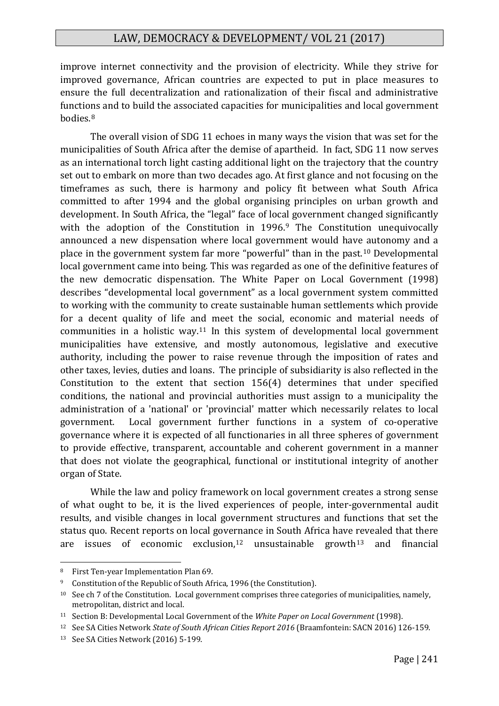improve internet connectivity and the provision of electricity. While they strive for improved governance, African countries are expected to put in place measures to ensure the full decentralization and rationalization of their fiscal and administrative functions and to build the associated capacities for municipalities and local government bodies.[8](#page-2-0)

The overall vision of SDG 11 echoes in many ways the vision that was set for the municipalities of South Africa after the demise of apartheid. In fact, SDG 11 now serves as an international torch light casting additional light on the trajectory that the country set out to embark on more than two decades ago. At first glance and not focusing on the timeframes as such, there is harmony and policy fit between what South Africa committed to after 1994 and the global organising principles on urban growth and development. In South Africa, the "legal" face of local government changed significantly with the adoption of the Constitution in 1[9](#page-2-1)96.<sup>9</sup> The Constitution unequivocally announced a new dispensation where local government would have autonomy and a place in the government system far more "powerful" than in the past.[10](#page-2-2) Developmental local government came into being. This was regarded as one of the definitive features of the new democratic dispensation. The White Paper on Local Government (1998) describes "developmental local government" as a local government system committed to working with the community to create sustainable human settlements which provide for a decent quality of life and meet the social, economic and material needs of communities in a holistic way.[11](#page-2-3) In this system of developmental local government municipalities have extensive, and mostly autonomous, legislative and executive authority, including the power to raise revenue through the imposition of rates and other taxes, levies, duties and loans. The principle of subsidiarity is also reflected in the Constitution to the extent that section 156(4) determines that under specified conditions, the national and provincial authorities must assign to a municipality the administration of a 'national' or 'provincial' matter which necessarily relates to local government. Local government further functions in a system of co-operative governance where it is expected of all functionaries in all three spheres of government to provide effective, transparent, accountable and coherent government in a manner that does not violate the geographical, functional or institutional integrity of another organ of State.

While the law and policy framework on local government creates a strong sense of what ought to be, it is the lived experiences of people, inter-governmental audit results, and visible changes in local government structures and functions that set the status quo. Recent reports on local governance in South Africa have revealed that there are issues of economic exclusion,<sup>[12](#page-2-4)</sup> unsustainable growth<sup>[13](#page-2-5)</sup> and financial

<span id="page-2-0"></span><sup>8</sup> First Ten-year Implementation Plan 69.

<span id="page-2-1"></span><sup>9</sup> Constitution of the Republic of South Africa, 1996 (the Constitution).

<span id="page-2-2"></span><sup>10</sup> See ch 7 of the Constitution. Local government comprises three categories of municipalities, namely, metropolitan, district and local.

<span id="page-2-3"></span><sup>11</sup> Section B: Developmental Local Government of the *White Paper on Local Government* (1998).

<span id="page-2-4"></span><sup>12</sup> See SA Cities Network *State of South African Cities Report 2016* (Braamfontein: SACN 2016) 126-159.

<span id="page-2-5"></span><sup>13</sup> See SA Cities Network (2016) 5-199.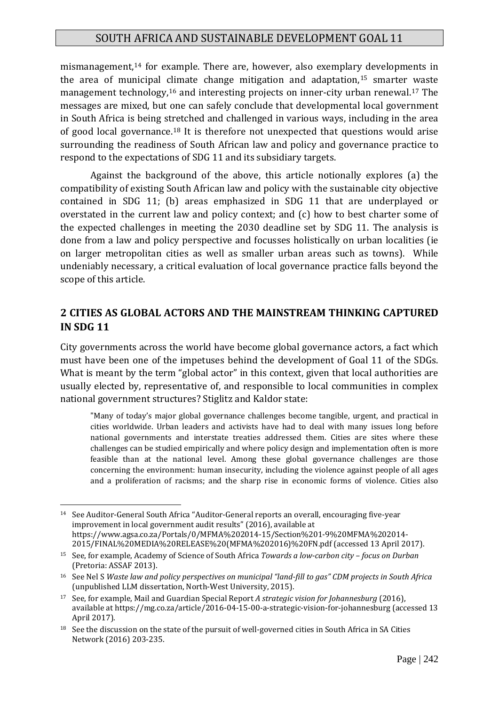mismanagement, <sup>14</sup> for example. There are, however, also exemplary developments in the area of mu[nic](#page-3-0)ipal [clim](#page-3-2)ate change mitigation and adaptation,[15](#page-3-1) smarter waste management technology, <sup>16</sup> and interesting projects on inner-city urban renewal.[17](#page-3-3) The messages are mixed, but one can safely conclude that developmental local government in South Africa is being stretched and challenged in various ways, including in the area of good local governance.[18](#page-3-4) It is therefore not unexpected that questions would arise surrounding the readiness of South African law and policy and governance practice to respond to the expectations of SDG 11 and its subsidiary targets.

Against the background of the above, this article notionally explores (a) the compatibility of existing South African law and policy with the sustainable city objective contained in SDG 11; (b) areas emphasized in SDG 11 that are underplayed or overstated in the current law and policy context; and (c) how to best charter some of the expected challenges in meeting the 2030 deadline set by SDG 11. The analysis is done from a law and policy perspective and focusses holistically on urban localities (ie on larger metropolitan cities as well as smaller urban areas such as towns). While undeniably necessary, a critical evaluation of local governance practice falls beyond the scope of this article.

# **2 CITIES AS GLOBAL ACTORS AND THE MAINSTREAM THINKING CAPTURED IN SDG 11**

City governments across the world have become global governance actors, a fact which must have been one of the impetuses behind the development of Goal 11 of the SDGs. What is meant by the term "global actor" in this context, given that local authorities are usually elected by, representative of, and responsible to local communities in complex national government structures? Stiglitz and Kaldor state:

"Many of today's major global governance challenges become tangible, urgent, and practical in cities worldwide. Urban leaders and activists have had to deal with many issues long before national governments and interstate treaties addressed them. Cities are sites where these challenges can be studied empirically and where policy design and implementation often is more feasible than at the national level. Among these global governance challenges are those concerning the environment: human insecurity, including the violence against people of all ages and a proliferation of racisms; and the sharp rise in economic forms of violence. Cities also

<span id="page-3-0"></span><sup>14</sup> See Auditor-General South Africa "Auditor-General reports an overall, encouraging five-year improvement in local government audit results" (2016), available at https://www.agsa.co.za/Portals/0/MFMA%202014-15/Section%201-9%20MFMA%202014- 2015/FINAL%20MEDIA%20RELEASE%20(MFMA%202016)%20FN.pdf (accessed 13 April 2017). <u>.</u>

<span id="page-3-1"></span><sup>15</sup> See, for example, Academy of Science of South Africa *Towards a low-carbon city – focus on Durban* (Pretoria: ASSAF 2013).

<span id="page-3-2"></span><sup>16</sup> See Nel S *Waste law and policy perspectives on municipal "land-fill to gas" CDM projects in South Africa* (unpublished LLM dissertation, North-West University, 2015).

<span id="page-3-3"></span><sup>17</sup> See, for example, Mail and Guardian Special Report *A strategic vision for Johannesburg* (2016), available at https://mg.co.za/article/2016-04-15-00-a-strategic-vision-for-johannesburg (accessed 13 April 2017).

<span id="page-3-4"></span><sup>18</sup> See the discussion on the state of the pursuit of well-governed cities in South Africa in SA Cities Network (2016) 203-235.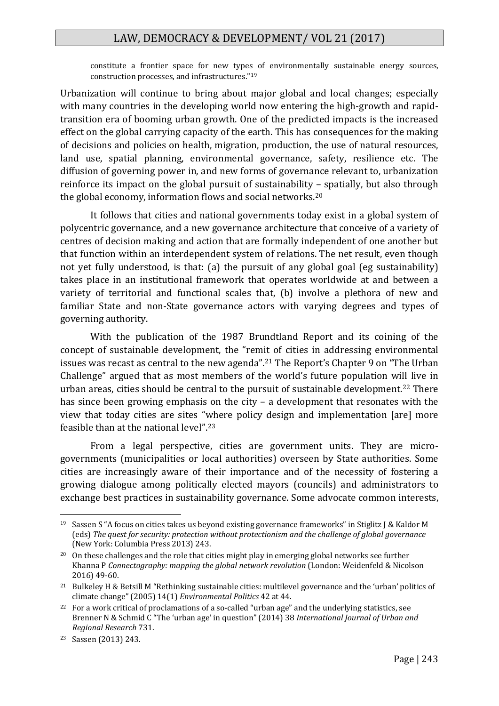constitute a frontier space for new types of environmentally sustainable energy sources, construction processes, and infrastructures."[19](#page-4-0)

Urbanization will continue to bring about major global and local changes; especially with many countries in the developing world now entering the high-growth and rapidtransition era of booming urban growth. One of the predicted impacts is the increased effect on the global carrying capacity of the earth. This has consequences for the making of decisions and policies on health, migration, production, the use of natural resources, land use, spatial planning, environmental governance, safety, resilience etc. The diffusion of governing power in, and new forms of governance relevant to, urbanization reinforce its impact on the global pursuit of sustainability – spatially, but also through the global economy, information flows and social networks.[20](#page-4-1)

It follows that cities and national governments today exist in a global system of polycentric governance, and a new governance architecture that conceive of a variety of centres of decision making and action that are formally independent of one another but that function within an interdependent system of relations. The net result, even though not yet fully understood, is that: (a) the pursuit of any global goal (eg sustainability) takes place in an institutional framework that operates worldwide at and between a variety of territorial and functional scales that, (b) involve a plethora of new and familiar State and non-State governance actors with varying degrees and types of governing authority.

With the publication of the 1987 Brundtland Report and its coining of the concept of sustainable development, the "remit of cities in addressing environmental issues was recast as central to the new agenda".[21](#page-4-2) The Report's Chapter 9 on "The Urban Challenge" argued that as most members of the world's future population will live in urban areas, cities should be central to the pursuit of sustainable development.<sup>[22](#page-4-3)</sup> There has since been growing emphasis on the city – a development that resonates with the view that today cities are sites "where policy design and implementation [are] more feasible than at the national level".[23](#page-4-4)

From a legal perspective, cities are government units. They are microgovernments (municipalities or local authorities) overseen by State authorities. Some cities are increasingly aware of their importance and of the necessity of fostering a growing dialogue among politically elected mayors (councils) and administrators to exchange best practices in sustainability governance. Some advocate common interests,

<span id="page-4-0"></span><sup>&</sup>lt;sup>19</sup> Sassen S "A focus on cities takes us beyond existing governance frameworks" in Stiglitz J & Kaldor M (eds) *[The quest for security: protection without protectionism and the challenge of global governance](http://columbia.universitypressscholarship.com/view/10.7312/columbia/9780231156868.001.0001/upso-9780231156868)* (New York: Columbia Press 2013) 243.

<span id="page-4-1"></span><sup>&</sup>lt;sup>20</sup> On these challenges and the role that cities might play in emerging global networks see further Khanna P *Connectography: mapping the global network revolution* (London: Weidenfeld & Nicolson 2016) 49-60.

<span id="page-4-2"></span><sup>21</sup> Bulkeley H & Betsill M "Rethinking sustainable cities: multilevel governance and the 'urban' politics of climate change" (2005) 14(1) *Environmental Politics* 42 at 44.

<span id="page-4-3"></span><sup>&</sup>lt;sup>22</sup> For a work critical of proclamations of a so-called "urban age" and the underlying statistics, see Brenner N & Schmid C "The 'urban age' in question" (2014) 38 *International Journal of Urban and Regional Research* 731.

<span id="page-4-4"></span><sup>23</sup> Sassen (2013) 243.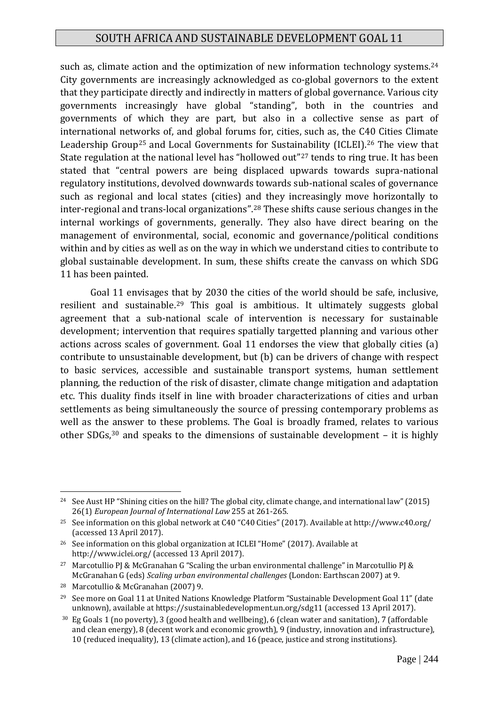such as, climate action and the optimization of new information technology systems.<sup>[24](#page-5-0)</sup> City governments are increasingly acknowledged as co-global governors to the extent that they participate directly and indirectly in matters of global governance. Various city governments increasingly have global "standing", both in the countries and governments of which they are part, but also in a collective sense as part of international networks of, and global forums for, cities, such as, the C40 Cities Climate Leadership Group<sup>[25](#page-5-1)</sup> and Local Governments for Sustainability (ICLEI).<sup>[26](#page-5-2)</sup> The view that State regulation at the national level has "hollowed out"[27](#page-5-3) tends to ring true. It has been stated that "central powers are being displaced upwards towards supra-national regulatory institutions, devolved downwards towards sub-national scales of governance such as regional and local states (cities) and they increasingly move horizontally to inter-regional and trans-local organizations".[28](#page-5-4) These shifts cause serious changes in the internal workings of governments, generally. They also have direct bearing on the management of environmental, social, economic and governance/political conditions within and by cities as well as on the way in which we understand cities to contribute to global sustainable development. In sum, these shifts create the canvass on which SDG 11 has been painted.

Goal 11 envisages that by 2030 the cities of the world should be safe, inclusive, resilient and sustainable.[29](#page-5-5) This goal is ambitious. It ultimately suggests global agreement that a sub-national scale of intervention is necessary for sustainable development; intervention that requires spatially targetted planning and various other actions across scales of government. Goal 11 endorses the view that globally cities (a) contribute to unsustainable development, but (b) can be drivers of change with respect to basic services, accessible and sustainable transport systems, human settlement planning, the reduction of the risk of disaster, climate change mitigation and adaptation etc. This duality finds itself in line with broader characterizations of cities and urban settlements as being simultaneously the source of pressing contemporary problems as well as the [an](#page-5-6)swer to these problems. The Goal is broadly framed, relates to various other SDGs, <sup>30</sup> and speaks to the dimensions of sustainable development – it is highly

<span id="page-5-0"></span><sup>&</sup>lt;sup>24</sup> See Aust HP "Shining cities on the hill? The global city, climate change, and international law" (2015) 26(1) *European Journal of International Law* 255 at 261-265. <u>.</u>

<span id="page-5-1"></span><sup>25</sup> See information on this global network at C40 "C40 Cities" (2017). Available at http://www.c40.org/ (accessed 13 April 2017).

<span id="page-5-2"></span><sup>&</sup>lt;sup>26</sup> See information on this global organization at ICLEI "Home" (2017). Available at http://www.iclei.org/ (accessed 13 April 2017).

<span id="page-5-3"></span><sup>&</sup>lt;sup>27</sup> Marcotullio PJ & McGranahan G "Scaling the urban environmental challenge" in Marcotullio PJ & McGranahan G (eds) *Scaling urban environmental challenges* (London: Earthscan 2007) at 9.

<span id="page-5-4"></span><sup>28</sup> Marcotullio & McGranahan (2007) 9.

<span id="page-5-5"></span><sup>&</sup>lt;sup>29</sup> See more on Goal 11 at United Nations Knowledge Platform "Sustainable Development Goal 11" (date unknown), available at https://sustainabledevelopment.un.org/sdg11 (accessed 13 April 2017).

<span id="page-5-6"></span><sup>30</sup> Eg Goals 1 (no poverty), 3 (good health and wellbeing), 6 (clean water and sanitation), 7 (affordable and clean energy), 8 (decent work and economic growth), 9 (industry, innovation and infrastructure), 10 (reduced inequality), 13 (climate action), and 16 (peace, justice and strong institutions).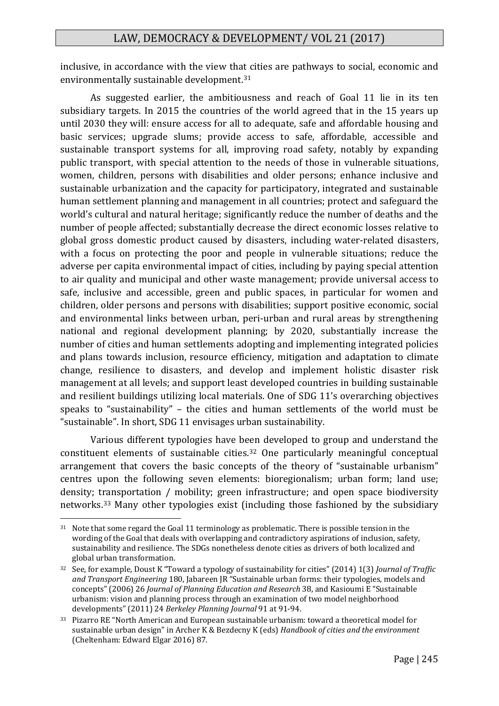inclusive, in accordance with the view that cities are pathways to social, economic and environmentally sustainable development.<sup>[31](#page-6-0)</sup>

As suggested earlier, the ambitiousness and reach of Goal 11 lie in its ten subsidiary targets. In 2015 the countries of the world agreed that in the 15 years up until 2030 they will: ensure access for all to adequate, safe and affordable housing and basic services; upgrade slums; provide access to safe, affordable, accessible and sustainable transport systems for all, improving road safety, notably by expanding public transport, with special attention to the needs of those in vulnerable situations, women, children, persons with disabilities and older persons; enhance inclusive and sustainable urbanization and the capacity for participatory, integrated and sustainable human settlement planning and management in all countries; protect and safeguard the world's cultural and natural heritage; significantly reduce the number of deaths and the number of people affected; substantially decrease the direct economic losses relative to global gross domestic product caused by disasters, including water-related disasters, with a focus on protecting the poor and people in vulnerable situations; reduce the adverse per capita environmental impact of cities, including by paying special attention to air quality and municipal and other waste management; provide universal access to safe, inclusive and accessible, green and public spaces, in particular for women and children, older persons and persons with disabilities; support positive economic, social and environmental links between urban, peri-urban and rural areas by strengthening national and regional development planning; by 2020, substantially increase the number of cities and human settlements adopting and implementing integrated policies and plans towards inclusion, resource efficiency, mitigation and adaptation to climate change, resilience to disasters, and develop and implement holistic disaster risk management at all levels; and support least developed countries in building sustainable and resilient buildings utilizing local materials. One of SDG 11's overarching objectives speaks to "sustainability" – the cities and human settlements of the world must be "sustainable". In short, SDG 11 envisages urban sustainability.

Various different typologies have been developed to group and understand the constituent elements of sustainable cities.[32](#page-6-1) One particularly meaningful conceptual arrangement that covers the basic concepts of the theory of "sustainable urbanism" centres upon the following seven elements: bioregionalism; urban form; land use; density; transportation / mobility; green infrastructure; and open space biodiversity networks.[33](#page-6-2) Many other typologies exist (including those fashioned by the subsidiary

<u>.</u>

<span id="page-6-0"></span><sup>&</sup>lt;sup>31</sup> Note that some regard the Goal 11 terminology as problematic. There is possible tension in the wording of the Goal that deals with overlapping and contradictory aspirations of inclusion, safety, sustainability and resilience. The SDGs nonetheless denote cities as drivers of both localized and global urban transformation.

<span id="page-6-1"></span><sup>32</sup> See, for example, Doust K "Toward a typology of sustainability for cities" (2014) 1(3) *Journal of Traffic and Transport Engineering* 180, Jabareen JR "Sustainable urban forms: their typologies, models and concepts" (2006) 26 *Journal of Planning Education and Research* 38, and Kasioumi E "Sustainable urbanism: vision and planning process through an examination of two model neighborhood developments" (2011) 24 *Berkeley Planning Journal* 91 at 91-94.

<span id="page-6-2"></span><sup>33</sup> Pizarro RE "North American and European sustainable urbanism: toward a theoretical model for sustainable urban design" in Archer K & Bezdecny K (eds) *Handbook of cities and the environment* (Cheltenham: Edward Elgar 2016) 87.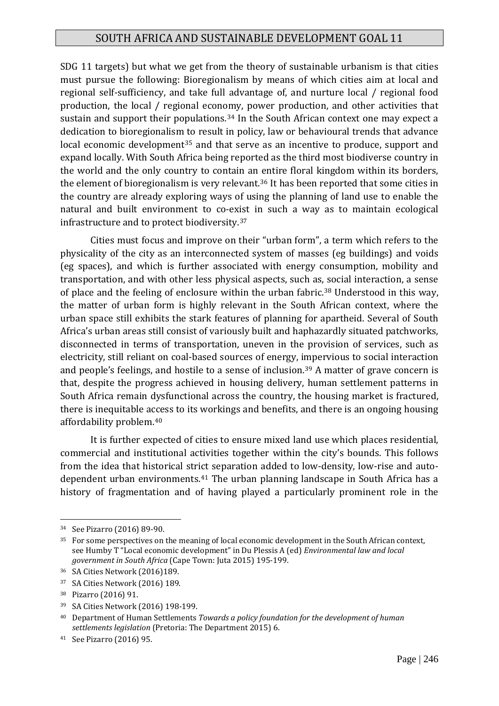SDG 11 targets) but what we get from the theory of sustainable urbanism is that cities must pursue the following: Bioregionalism by means of which cities aim at local and regional self-sufficiency, and take full advantage of, and nurture local / regional food production, the local / regional economy, power production, and other activities that sustain and support their populations.<sup>[34](#page-7-0)</sup> In the South African context one may expect a dedication to bioregionalism to result in policy, law or behavioural trends that advance local economic development<sup>[35](#page-7-1)</sup> and that serve as an incentive to produce, support and expand locally. With South Africa being reported as the third most biodiverse country in the world and the only country to contain an entire floral kingdom within its borders, the element of bioregionalism is very relevant.<sup>[36](#page-7-2)</sup> It has been reported that some cities in the country are already exploring ways of using the planning of land use to enable the natural and built environment to co-exist in such a way as to maintain ecological infrastructure and to protect biodiversity.[37](#page-7-3)

Cities must focus and improve on their "urban form", a term which refers to the physicality of the city as an interconnected system of masses (eg buildings) and voids (eg spaces), and which is further associated with energy consumption, mobility and transportation, and with other less physical aspects, such as, social interaction, a sense of place and the feeling of enclosure within the urban fabric.[38](#page-7-4) Understood in this way, the matter of urban form is highly relevant in the South African context, where the urban space still exhibits the stark features of planning for apartheid. Several of South Africa's urban areas still consist of variously built and haphazardly situated patchworks, disconnected in terms of transportation, uneven in the provision of services, such as electricity, still reliant on coal-based sources of energy, impervious to social interaction and people's feelings, and hostile to a sense of inclusion.[39](#page-7-5) A matter of grave concern is that, despite the progress achieved in housing delivery, human settlement patterns in South Africa remain dysfunctional across the country, the housing market is fractured, there is inequitable access to its workings and benefits, and there is an ongoing housing affordability problem.[40](#page-7-6)

It is further expected of cities to ensure mixed land use which places residential, commercial and institutional activities together within the city's bounds. This follows from the idea that historical strict separation added to low-density, low-rise and autodependent urban environments.[41](#page-7-7) The urban planning landscape in South Africa has a history of fragmentation and of having played a particularly prominent role in the

-

<span id="page-7-5"></span><sup>39</sup> SA Cities Network (2016) 198-199.

<span id="page-7-0"></span><sup>34</sup> See Pizarro (2016) 89-90.

<span id="page-7-1"></span><sup>&</sup>lt;sup>35</sup> For some perspectives on the meaning of local economic development in the South African context, see Humby T "Local economic development" in Du Plessis A (ed) *Environmental law and local government in South Africa* (Cape Town: Juta 2015) 195-199.

<span id="page-7-2"></span><sup>36</sup> SA Cities Network (2016)189.

<span id="page-7-3"></span><sup>37</sup> SA Cities Network (2016) 189.

<span id="page-7-4"></span><sup>38</sup> Pizarro (2016) 91.

<span id="page-7-6"></span><sup>40</sup> Department of Human Settlements *Towards a policy foundation for the development of human settlements legislation* (Pretoria: The Department 2015) 6.

<span id="page-7-7"></span><sup>41</sup> See Pizarro (2016) 95.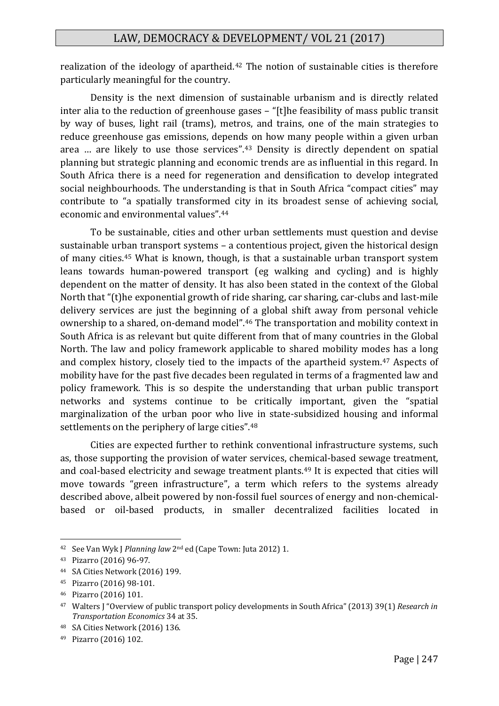realization of the ideology of apartheid. [42](#page-8-0) The notion of sustainable cities is therefore particularly meaningful for the country.

Density is the next dimension of sustainable urbanism and is directly related inter alia to the reduction of greenhouse gases – "[t]he feasibility of mass public transit by way of buses, light rail (trams), metros, and trains, one of the main strategies to reduce greenhouse gas emissions, depend[s o](#page-8-1)n how many people within a given urban area … are likely to use those services". <sup>43</sup> Density is directly dependent on spatial planning but strategic planning and economic trends are as influential in this regard. In South Africa there is a need for regeneration and densification to develop integrated social neighbourhoods. The understanding is that in South Africa "compact cities" may contribute to "a spatially transformed city in its broadest sense of achieving social, economic and environmental values".[44](#page-8-2)

To be sustainable, cities and other urban settlements must question and devise sustainable urban transport systems – a contentious project, given the historical design of many cities.[45](#page-8-3) What is known, though, is that a sustainable urban transport system leans towards human-powered transport (eg walking and cycling) and is highly dependent on the matter of density. It has also been stated in the context of the Global North that "(t)he exponential growth of ride sharing, car sharing, car-clubs and last-mile delivery services are just the beginning of a global shift away from personal vehicle ownership to a shared, on-demand model".[46](#page-8-4) The transportation and mobility context in South Africa is as relevant but quite different from that of many countries in the Global North. The law and policy framework applicable to shared mobility mod[es](#page-8-5) has a long and complex history, closely tied to the impacts of the apartheid system. <sup>47</sup> Aspects of mobility have for the past five decades been regulated in terms of a fragmented law and policy framework. This is so despite the understanding that urban public transport networks and systems continue to be critically important, given the "spatial marginalization of the urban poor who live in state-subsidized housing and informal settlements on the periphery of large cities".<sup>[48](#page-8-6)</sup>

Cities are expected further to rethink conventional infrastructure systems, such as, those supporting the provision of water services, chemical-based sewage treatment, and coal-based electricity and sewage treatment plants.<sup>[49](#page-8-7)</sup> It is expected that cities will move towards "green infrastructure", a term which refers to the systems already described above, albeit powered by non-fossil fuel sources of energy and non-chemicalbased or oil-based products, in smaller decentralized facilities located in

<sup>42</sup> See Van Wyk J *Planning law* 2nd ed (Cape Town: Juta 2012) 1. <u>.</u>

<span id="page-8-1"></span><span id="page-8-0"></span><sup>43</sup> Pizarro (2016) 96-97.

<span id="page-8-2"></span><sup>44</sup> SA Cities Network (2016) 199.

<span id="page-8-3"></span><sup>45</sup> Pizarro (2016) 98-101.

<span id="page-8-4"></span><sup>46</sup> Pizarro (2016) 101.

<span id="page-8-5"></span><sup>47</sup> Walters J "Overview of public transport policy developments in South Africa" (2013) 39(1) *Research in Transportation Economics* 34 at 35.

<span id="page-8-6"></span><sup>48</sup> SA Cities Network (2016) 136.

<span id="page-8-7"></span><sup>49</sup> Pizarro (2016) 102.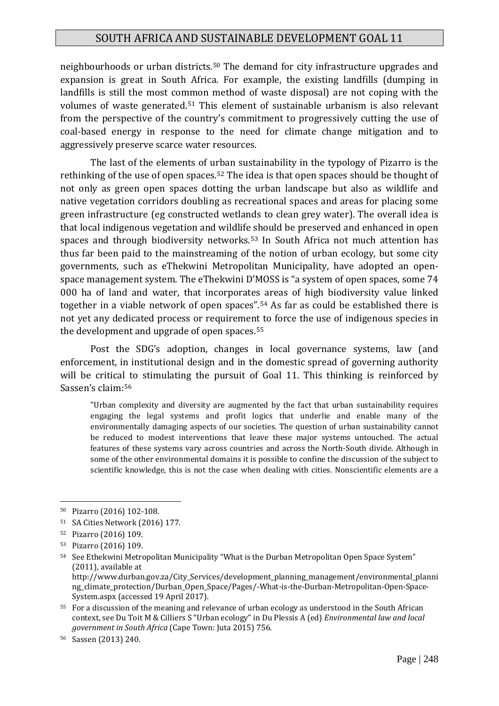neighbourhoods or urban districts.[50](#page-9-0) The demand for city infrastructure upgrades and expansion is great in South Africa. For example, the existing landfills (dumping in landfills is still the most common method of waste disposal) are not coping with the volumes of waste generated.[51](#page-9-1) This element of sustainable urbanism is also relevant from the perspective of the country's commitment to progressively cutting the use of coal-based energy in response to the need for climate change mitigation and to aggressively preserve scarce water resources.

The last of the elements of urban sustainability in the typology of Pizarro is the rethinking of the use of open spaces.[52](#page-9-2) The idea is that open spaces should be thought of not only as green open spaces dotting the urban landscape but also as wildlife and native vegetation corridors doubling as recreational spaces and areas for placing some green infrastructure (eg constructed wetlands to clean grey water). The overall idea is that local indigenous vegetation and wildlife should be preserved and enhanced in open spaces and through biodiversity networks.<sup>[53](#page-9-3)</sup> In South Africa not much attention has thus far been paid to the mainstreaming of the notion of urban ecology, but some city governments, such as eThekwini Metropolitan Municipality, have adopted an openspace management system. The eThekwini D'MOSS is "a system of open spaces, some 74 000 ha of land and water, that incorporates areas of high biodiversity value linked together in a viable network of open spaces".[54](#page-9-4) As far as could be established there is not yet any dedicated process or requirement to force the use of indigenous species in the development and upgrade of open spaces.[55](#page-9-5)

Post the SDG's adoption, changes in local governance systems, law (and enforcement, in institutional design and in the domestic spread of governing authority will be critical to stimulating the pursuit of Goal 11. This thinking is reinforced by Sassen's claim[:56](#page-9-6)

"Urban complexity and diversity are augmented by the fact that urban sustainability requires engaging the legal systems and profit logics that underlie and enable many of the environmentally damaging aspects of our societies. The question of urban sustainability cannot be reduced to modest interventions that leave these major systems untouched. The actual features of these systems vary across countries and across the North-South divide. Although in some of the other environmental domains it is possible to confine the discussion of the subject to scientific knowledge, this is not the case when dealing with cities. Nonscientific elements are a

<span id="page-9-0"></span><sup>50</sup> Pizarro (2016) 102-108.

<span id="page-9-1"></span><sup>51</sup> SA Cities Network (2016) 177.

<span id="page-9-2"></span><sup>52</sup> Pizarro (2016) 109.

<span id="page-9-3"></span><sup>53</sup> Pizarro (2016) 109.

<span id="page-9-4"></span><sup>54</sup> See Ethekwini Metropolitan Municipality "What is the Durban Metropolitan Open Space System" (2011), available at

http://www.durban.gov.za/City\_Services/development\_planning\_management/environmental\_planni ng\_climate\_protection/Durban\_Open\_Space/Pages/-What-is-the-Durban-Metropolitan-Open-Space-System.aspx (accessed 19 April 2017).

<span id="page-9-5"></span><sup>55</sup> For a discussion of the meaning and relevance of urban ecology as understood in the South African context, see Du Toit M & Cilliers S "Urban ecology" in Du Plessis A (ed) *Environmental law and local government in South Africa* (Cape Town: Juta 2015) 756.

<span id="page-9-6"></span><sup>56</sup> Sassen (2013) 240.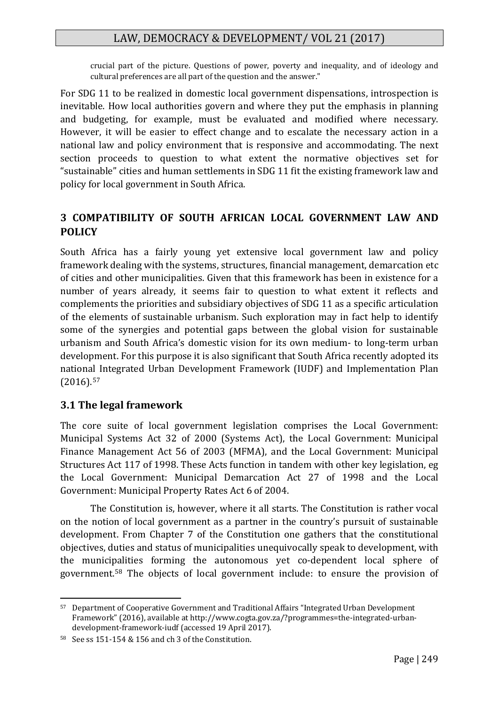crucial part of the picture. Questions of power, poverty and inequality, and of ideology and cultural preferences are all part of the question and the answer."

For SDG 11 to be realized in domestic local government dispensations, introspection is inevitable. How local authorities govern and where they put the emphasis in planning and budgeting, for example, must be evaluated and modified where necessary. However, it will be easier to effect change and to escalate the necessary action in a national law and policy environment that is responsive and accommodating. The next section proceeds to question to what extent the normative objectives set for "sustainable" cities and human settlements in SDG 11 fit the existing framework law and policy for local government in South Africa.

#### **3 COMPATIBILITY OF SOUTH AFRICAN LOCAL GOVERNMENT LAW AND POLICY**

South Africa has a fairly young yet extensive local government law and policy framework dealing with the systems, structures, financial management, demarcation etc of cities and other municipalities. Given that this framework has been in existence for a number of years already, it seems fair to question to what extent it reflects and complements the priorities and subsidiary objectives of SDG 11 as a specific articulation of the elements of sustainable urbanism. Such exploration may in fact help to identify some of the synergies and potential gaps between the global vision for sustainable urbanism and South Africa's domestic vision for its own medium- to long-term urban development. For this purpose it is also significant that South Africa recently adopted its national Integrated Urban Development Framework (IUDF) and Implementation Plan  $(2016).57$  $(2016).57$ 

#### **3.1 The legal framework**

The core suite of local government legislation comprises the Local Government: Municipal Systems Act 32 of 2000 (Systems Act), the Local Government: Municipal Finance Management Act 56 of 2003 (MFMA), and the Local Government: Municipal Structures Act 117 of 1998. These Acts function in tandem with other key legislation, eg the Local Government: Municipal Demarcation Act 27 of 1998 and the Local Government: Municipal Property Rates Act 6 of 2004.

The Constitution is, however, where it all starts. The Constitution is rather vocal on the notion of local government as a partner in the country's pursuit of sustainable development. From Chapter 7 of the Constitution one gathers that the constitutional objectives, duties and status of municipalities unequivocally speak to development, with the municipalities forming the autonomous yet co-dependent local sphere of government.[58](#page-10-1) The objects of local government include: to ensure the provision of

<span id="page-10-0"></span><sup>57</sup> Department of Cooperative Government and Traditional Affairs "Integrated Urban Development Framework" (2016), available at http://www.cogta.gov.za/?programmes=the-integrated-urbandevelopment-framework-iudf (accessed 19 April 2017). -

<span id="page-10-1"></span><sup>58</sup> See ss 151-154 & 156 and ch 3 of the Constitution.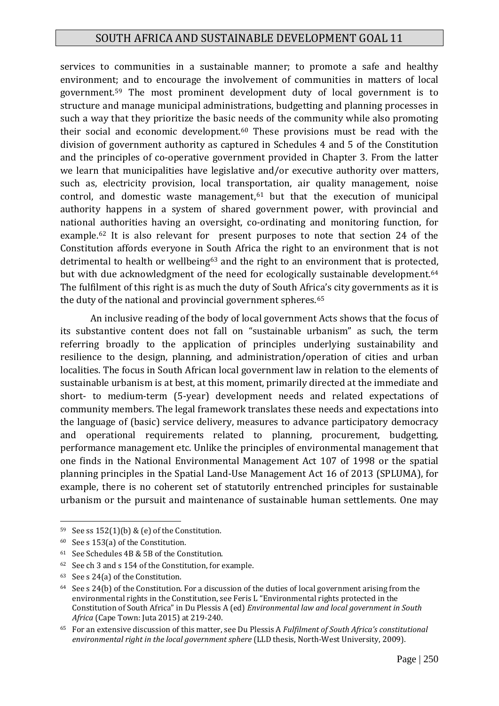services to communities in a sustainable manner; to promote a safe and healthy environment; and to encourage the involvement of communities in matters of local government.[59](#page-11-0) The most prominent development duty of local government is to structure and manage municipal administrations, budgetting and planning processes in such a way that they prioritize the basic needs of the community while also promoting their social and economic development.[60](#page-11-1) These provisions must be read with the division of government authority as captured in Schedules 4 and 5 of the Constitution and the principles of co-operative government provided in Chapter 3. From the latter we learn that municipalities have legislative and/or executive authority over matters, such as, electricity provision, local transp[or](#page-11-2)tation, air quality management, noise control, and domestic waste management, <sup>61</sup> but that the execution of municipal authority happens in a system of shared government power, with provincial and national authorities having an oversight, co-ordinating and monitoring function, for example.[62](#page-11-3) It is also relevant for present purposes to note that section 24 of the Constitution affords everyone in South Africa the right to an environment that is not detrimental to health or wellbeing<sup>[63](#page-11-4)</sup> and the right to an environment that is protected, but with due acknowledgment of the need for ecologically sustainable development.<sup>[64](#page-11-5)</sup> The fulfilment of this right is as much the duty of South Africa's city governments as it is the duty of the national and provincial government spheres.<sup>[65](#page-11-6)</sup>

An inclusive reading of the body of local government Acts shows that the focus of its substantive content does not fall on "sustainable urbanism" as such, the term referring broadly to the application of principles underlying [sustainability](https://en.wikipedia.org/wiki/Sustainability) and resilience to the [design,](https://en.wikipedia.org/wiki/Urban_design) [planning,](https://en.wikipedia.org/wiki/Urban_planning) and administration/operation of [cities](https://en.wikipedia.org/wiki/Cities) and urban localities. The focus in South African local government law in relation to the elements of sustainable urbanism is at best, at this moment, primarily directed at the immediate and short- to medium-term (5-year) development needs and related expectations of community members. The legal framework translates these needs and expectations into the language of (basic) service delivery, measures to advance participatory democracy and operational requirements related to planning, procurement, budgetting, performance management etc. Unlike the principles of environmental management that one finds in the National Environmental Management Act 107 of 1998 or the spatial planning principles in the Spatial Land-Use Management Act 16 of 2013 (SPLUMA), for example, there is no coherent set of statutorily entrenched principles for sustainable urbanism or the pursuit and maintenance of sustainable human settlements. One may

<span id="page-11-0"></span><sup>59</sup> See ss  $152(1)(b)$  & (e) of the Constitution. <u>.</u>

<span id="page-11-1"></span><sup>60</sup> See s 153(a) of the Constitution.

<span id="page-11-2"></span><sup>61</sup> See Schedules 4B & 5B of the Constitution.

<span id="page-11-3"></span><sup>62</sup> See ch 3 and s 154 of the Constitution, for example.

<span id="page-11-4"></span><sup>63</sup> See s 24(a) of the Constitution.

<span id="page-11-5"></span> $64$  See s 24(b) of the Constitution. For a discussion of the duties of local government arising from the environmental rights in the Constitution, see Feris L "Environmental rights protected in the Constitution of South Africa" in Du Plessis A (ed) *Environmental law and local government in South Africa* (Cape Town: Juta 2015) at 219-240.

<span id="page-11-6"></span><sup>65</sup> For an extensive discussion of this matter, see Du Plessis A *Fulfilment of South Africa's constitutional environmental right in the local government sphere* (LLD thesis, North-West University, 2009).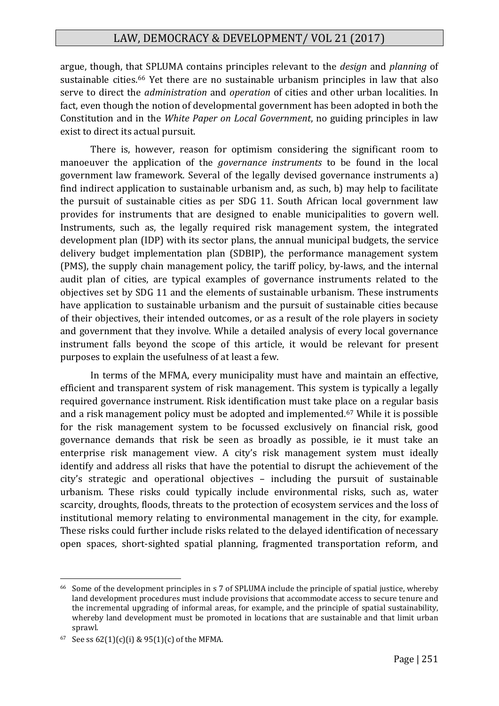argue, though, that SPLUMA contains principles relevant to the *design* and *planning* of sustainable cities.<sup>[66](#page-12-0)</sup> Yet there are no sustainable urbanism principles in law that also serve to direct the *administration* and *operation* of cities and other urban localities. In fact, even though the notion of developmental government has been adopted in both the Constitution and in the *White Paper on Local Government*, no guiding principles in law exist to direct its actual pursuit.

There is, however, reason for optimism considering the significant room to manoeuver the application of the *governance instruments* to be found in the local government law framework. Several of the legally devised governance instruments a) find indirect application to sustainable urbanism and, as such, b) may help to facilitate the pursuit of sustainable cities as per SDG 11. South African local government law provides for instruments that are designed to enable municipalities to govern well. Instruments, such as, the legally required risk management system, the integrated development plan (IDP) with its sector plans, the annual municipal budgets, the service delivery budget implementation plan (SDBIP), the performance management system (PMS), the supply chain management policy, the tariff policy, by-laws, and the internal audit plan of cities, are typical examples of governance instruments related to the objectives set by SDG 11 and the elements of sustainable urbanism. These instruments have application to sustainable urbanism and the pursuit of sustainable cities because of their objectives, their intended outcomes, or as a result of the role players in society and government that they involve. While a detailed analysis of every local governance instrument falls beyond the scope of this article, it would be relevant for present purposes to explain the usefulness of at least a few.

In terms of the MFMA, every municipality must have and maintain an effective, efficient and transparent system of risk management. This system is typically a legally required governance instrument. Risk identification must take place on a regular basis and a risk management policy must be adopted and implemented.[67](#page-12-1) While it is possible for the risk management system to be focussed exclusively on financial risk, good governance demands that risk be seen as broadly as possible, ie it must take an enterprise risk management view. A city's risk management system must ideally identify and address all risks that have the potential to disrupt the achievement of the city's strategic and operational objectives – including the pursuit of sustainable urbanism. These risks could typically include environmental risks, such as, water scarcity, droughts, floods, threats to the protection of ecosystem services and the loss of institutional memory relating to environmental management in the city, for example. These risks could further include risks related to the delayed identification of necessary open spaces, short-sighted spatial planning, fragmented transportation reform, and

<span id="page-12-0"></span><sup>66</sup> Some of the development principles in s 7 of SPLUMA include the principle of spatial justice, whereby land development procedures must include provisions that accommodate access to secure tenure and the incremental upgrading of informal areas, for example, and the principle of spatial sustainability, whereby land development must be promoted in locations that are sustainable and that limit urban sprawl. <u>.</u>

<span id="page-12-1"></span><sup>67</sup> See ss  $62(1)(c)(i)$  & 95(1)(c) of the MFMA.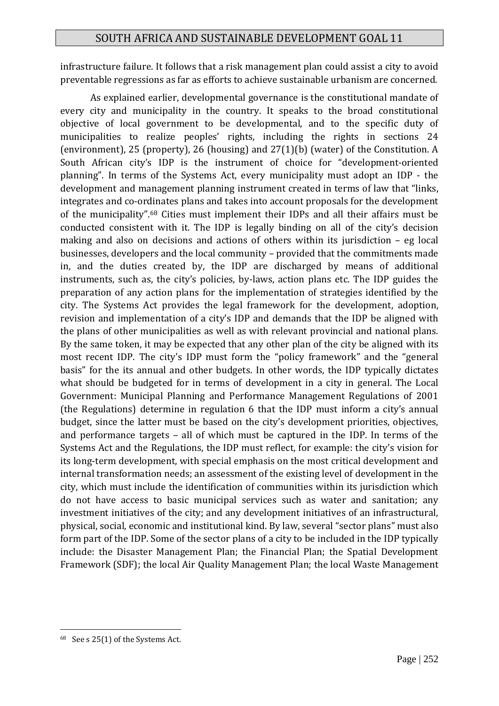infrastructure failure. It follows that a risk management plan could assist a city to avoid preventable regressions as far as efforts to achieve sustainable urbanism are concerned.

As explained earlier, developmental governance is the constitutional mandate of every city and municipality in the country. It speaks to the broad constitutional objective of local government to be developmental, and to the specific duty of municipalities to realize peoples' rights, including the rights in sections 24 (environment), 25 (property), 26 (housing) and 27(1)(b) (water) of the Constitution. A South African city's IDP is the instrument of choice for "development-oriented planning". In terms of the Systems Act, every municipality must adopt an IDP - the development and management planning instrument created in terms of law that "links, integrates and co-ordinates plans and takes into account proposals for the development of the municipality".[68](#page-13-0) Cities must implement their IDPs and all their affairs must be conducted consistent with it. The IDP is legally binding on all of the city's decision making and also on decisions and actions of others within its jurisdiction – eg local businesses, developers and the local community – provided that the commitments made in, and the duties created by, the IDP are discharged by means of additional instruments, such as, the city's policies, by-laws, action plans etc. The IDP guides the preparation of any action plans for the implementation of strategies identified by the city. The Systems Act provides the legal framework for the development, adoption, revision and implementation of a city's IDP and demands that the IDP be aligned with the plans of other municipalities as well as with relevant provincial and national plans. By the same token, it may be expected that any other plan of the city be aligned with its most recent IDP. The city's IDP must form the "policy framework" and the "general basis" for the its annual and other budgets. In other words, the IDP typically dictates what should be budgeted for in terms of development in a city in general. The Local Government: Municipal Planning and Performance Management Regulations of 2001 (the Regulations) determine in regulation 6 that the IDP must inform a city's annual budget, since the latter must be based on the city's development priorities, objectives, and performance targets – all of which must be captured in the IDP. In terms of the Systems Act and the Regulations, the IDP must reflect, for example: the city's vision for its long-term development, with special emphasis on the most critical development and internal transformation needs; an assessment of the existing level of development in the city, which must include the identification of communities within its jurisdiction which do not have access to basic municipal services such as water and sanitation; any investment initiatives of the city; and any development initiatives of an infrastructural, physical, social, economic and institutional kind. By law, several "sector plans" must also form part of the IDP. Some of the sector plans of a city to be included in the IDP typically include: the Disaster Management Plan; the Financial Plan; the Spatial Development Framework (SDF); the local Air Quality Management Plan; the local Waste Management

<span id="page-13-0"></span><sup>68</sup> See s 25(1) of the Systems Act. -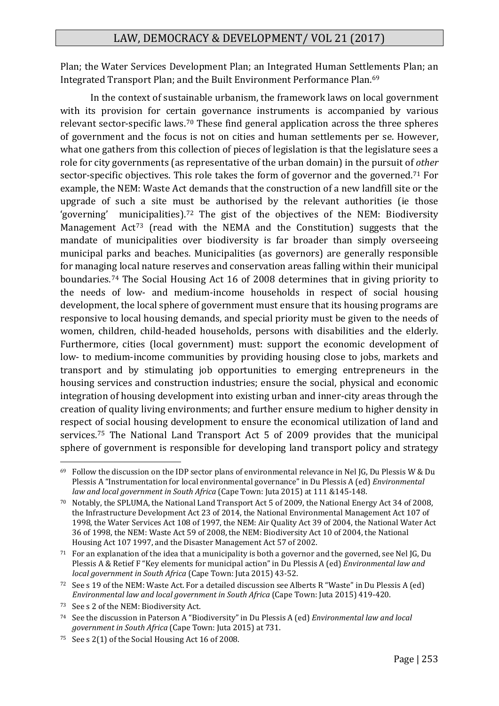Plan; the Water Services Development Plan; an Integrated Human Settlements Plan; an Integrated Transport Plan; and the Built Environment Performance Plan.[69](#page-14-0)

In the context of sustainable urbanism, the framework laws on local government with its provision for cert[ain](#page-14-1) governance instruments is accompanied by various relevant sector-specific laws. <sup>70</sup> These find general application across the three spheres of government and the focus is not on cities and human settlements per se. However, what one gathers from this collection of pieces of legislation is that the legislature sees a role for city governments (as representative of the urban domain) in the pursuit of *other* sector-specific objectives. This role takes the form of governor and the governed. <sup>71</sup> For example, the NEM: Waste Act demands that the construction of a new landfill site [or](#page-14-2) the upgrade of such a site m[ust](#page-14-3) be authorised by the relevant authorities (ie those 'governing' municipalities). <sup>72</sup> The gist of the objectives of the NEM: Biodiversity Management Act<sup>[73](#page-14-4)</sup> (read with the NEMA and the Constitution) suggests that the mandate of municipalities over biodiversity is far broader than simply overseeing municipal parks and beaches. Municipalities (as governors) are generally responsible for managing local nature reserves and conservation areas falling within their municipal boundaries.[74](#page-14-5) The Social Housing Act 16 of 2008 determines that in giving priority to the needs of low- and medium-income households in respect of social housing development, the local sphere of government must ensure that its housing programs are responsive to local housing demands, and special priority must be given to the needs of women, children, child-headed households, persons with disabilities and the elderly. Furthermore, cities (local government) must: support the economic development of low- to medium-income communities by providing housing close to jobs, markets and transport and by stimulating job opportunities to emerging entrepreneurs in the housing services and construction industries; ensure the social, physical and economic integration of housing development into existing urban and inner-city areas through the creation of quality living environments; and further ensure medium to higher density in respect of social housing development to ensure the economical utilization of land and services.[75](#page-14-6) The National Land Transport Act 5 of 2009 provides that the municipal sphere of government is responsible for developing land transport policy and strategy

<span id="page-14-0"></span><sup>69</sup> Follow the discussion on the IDP sector plans of environmental relevance in Nel JG, Du Plessis W & Du Plessis A "Instrumentation for local environmental governance" in Du Plessis A (ed) *Environmental law and local government in South Africa* (Cape Town: Juta 2015) at 111 &145-148. -

<span id="page-14-1"></span><sup>70</sup> Notably, the SPLUMA, the National Land Transport Act 5 of 2009, the National Energy Act 34 of 2008, the Infrastructure Development Act 23 of 2014, the National Environmental Management Act 107 of 1998, the Water Services Act 108 of 1997, the NEM: Air Quality Act 39 of 2004, the National Water Act 36 of 1998, the NEM: Waste Act 59 of 2008, the NEM: Biodiversity Act 10 of 2004, the National Housing Act 107 1997, and the Disaster Management Act 57 of 2002.

<span id="page-14-2"></span><sup>&</sup>lt;sup>71</sup> For an explanation of the idea that a municipality is both a governor and the governed, see Nel  $\overline{G}$ , Du Plessis A & Retief F "Key elements for municipal action" in Du Plessis A (ed) *Environmental law and local government in South Africa* (Cape Town: Juta 2015) 43-52.

<span id="page-14-3"></span><sup>72</sup> See s 19 of the NEM: Waste Act. For a detailed discussion see Alberts R "Waste" in Du Plessis A (ed) *Environmental law and local government in South Africa* (Cape Town: Juta 2015) 419-420.

<span id="page-14-4"></span><sup>73</sup> See s 2 of the NEM: Biodiversity Act.

<span id="page-14-5"></span><sup>74</sup> See the discussion in Paterson A "Biodiversity" in Du Plessis A (ed) *Environmental law and local government in South Africa* (Cape Town: Juta 2015) at 731.

<span id="page-14-6"></span><sup>75</sup> See s 2(1) of the Social Housing Act 16 of 2008.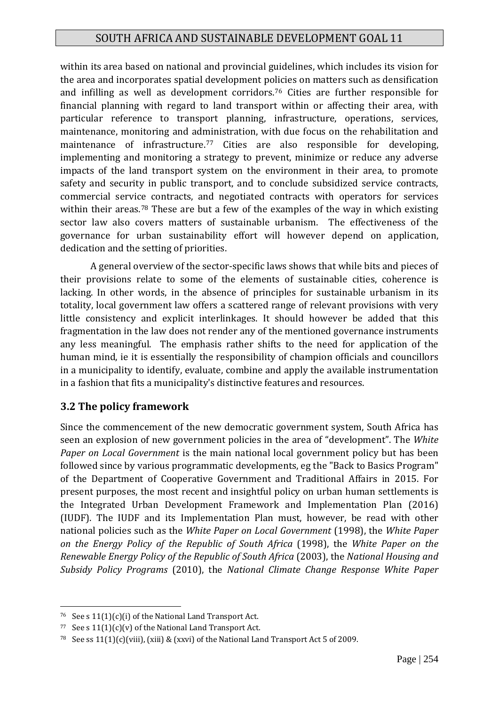within its area based on national and provincial guidelines, which includes its vision for the area and incorporates spatial development policies on matters such as densification and infilling as well as development corridors.[76](#page-15-0) Cities are further responsible for financial planning with regard to land transport within or affecting their area, with particular reference to transport planning, infrastructure, operations, services, maintenance, monitoring and administration, with due focus on the rehabilitation and maintenance of infrastructure.[77](#page-15-1) Cities are also responsible for developing, implementing and monitoring a strategy to prevent, minimize or reduce any adverse impacts of the land transport system on the environment in their area, to promote safety and security in public transport, and to conclude subsidized service contracts, commercial service contracts, and negotiated contracts with operators for services within their areas.<sup>[78](#page-15-2)</sup> These are but a few of the examples of the way in which existing sector law also covers matters of sustainable urbanism. The effectiveness of the governance for urban sustainability effort will however depend on application, dedication and the setting of priorities.

A general overview of the sector-specific laws shows that while bits and pieces of their provisions relate to some of the elements of sustainable cities, coherence is lacking. In other words, in the absence of principles for sustainable urbanism in its totality, local government law offers a scattered range of relevant provisions with very little consistency and explicit interlinkages. It should however be added that this fragmentation in the law does not render any of the mentioned governance instruments any less meaningful. The emphasis rather shifts to the need for application of the human mind, ie it is essentially the responsibility of champion officials and councillors in a municipality to identify, evaluate, combine and apply the available instrumentation in a fashion that fits a municipality's distinctive features and resources.

#### **3.2 The policy framework**

Since the commencement of the new democratic government system, South Africa has seen an explosion of new government policies in the area of "development". The *White Paper on Local Government* is the main national local government policy but has been followed since by various programmatic developments, eg the "Back to Basics Program" of the Department of Cooperative Government and Traditional Affairs in 2015. For present purposes, the most recent and insightful policy on urban human settlements is the Integrated Urban Development Framework and Implementation Plan (2016) (IUDF). The IUDF and its Implementation Plan must, however, be read with other national policies such as the *White Paper on Local Government* (1998), the *White Paper on the Energy Policy of the Republic of South Africa* (1998), the *White Paper on the Renewable Energy Policy of the Republic of South Africa* (2003), the *National Housing and Subsidy Policy Programs* (2010), the *National Climate Change Response White Paper*

<span id="page-15-0"></span><sup>&</sup>lt;sup>76</sup> See s  $11(1)(c)(i)$  of the National Land Transport Act.

<span id="page-15-1"></span><sup>&</sup>lt;sup>77</sup> See s  $11(1)(c)(v)$  of the National Land Transport Act.

<span id="page-15-2"></span><sup>78</sup> See ss 11(1)(c)(viii), (xiii) & (xxvi) of the National Land Transport Act 5 of 2009.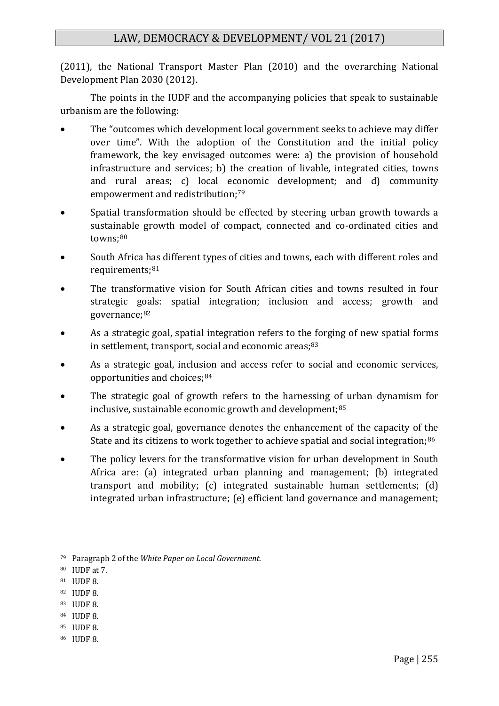(2011), the National Transport Master Plan (2010) and the overarching National Development Plan 2030 (2012).

The points in the IUDF and the accompanying policies that speak to sustainable urbanism are the following:

- The "outcomes which development local government seeks to achieve may differ over time". With the adoption of the Constitution and the initial policy framework, the key envisaged outcomes were: a) the provision of household infrastructure and services; b) the creation of livable, integrated cities, towns and rural areas; c) local economic development; and d) community empowerment and redistribution;[79](#page-16-0)
- Spatial transformation should be effected by steering urban growth towards a sustainable growth model of compact, connected and co-ordinated cities and towns;[80](#page-16-1)
- South Africa has different types of cities and towns, each with different roles and requirements;<sup>[81](#page-16-2)</sup>
- The transformative vision for South African cities and towns resulted in four strategic goals: spatial integration; inclusion and access; growth and governance;[82](#page-16-3)
- As a strategic goal, spatial integration refers to the forging of new spatial forms in settlement, transport, social and economic areas;<sup>[83](#page-16-4)</sup>
- As a strategic goal, inclusion and access refer to social and economic services. opportunities and choices;[84](#page-16-5)
- The strategic goal of growth refers to the harnessing of urban dynamism for inclusive, sustainable economic growth and development;<sup>[85](#page-16-6)</sup>
- As a strategic goal, governance denotes the enhancement of the capacity of the State and its citizens to work together to achieve spatial and social integration;<sup>[86](#page-16-7)</sup>
- The policy levers for the transformative vision for urban development in South Africa are: (a) integrated urban planning and management; (b) integrated transport and mobility; (c) integrated sustainable human settlements; (d) integrated urban infrastructure; (e) efficient land governance and management;

<span id="page-16-1"></span><span id="page-16-0"></span><sup>80</sup> IUDF at 7.

- <span id="page-16-3"></span><sup>82</sup> IUDF 8.
- <span id="page-16-4"></span><sup>83</sup> IUDF 8.
- <span id="page-16-5"></span><sup>84</sup> IUDF 8.
- <span id="page-16-6"></span><sup>85</sup> IUDF 8.
- <span id="page-16-7"></span><sup>86</sup> IUDF 8.

<sup>79</sup> Paragraph 2 of the *White Paper on Local Government*. -

<span id="page-16-2"></span><sup>81</sup> IUDF 8.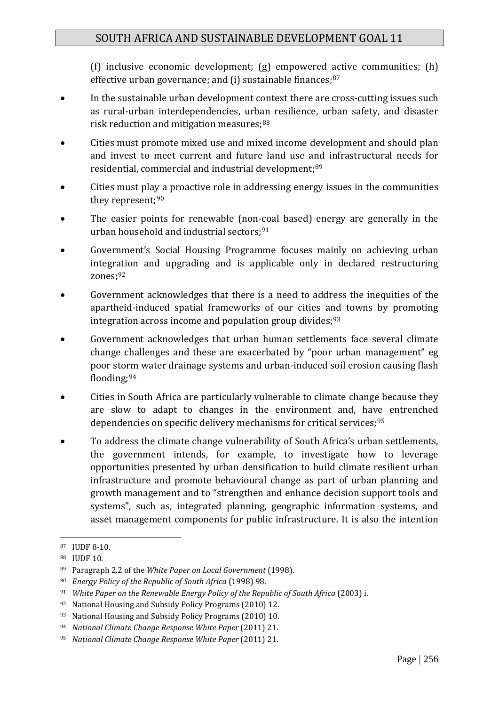(f) inclusive economic development; (g) empowered active communities; (h) effective urban governance; and (i) sustainable finances;<sup>[87](#page-17-0)</sup>

- In the sustainable urban development context there are cross-cutting issues such as rural-urban interdependencies, urban resilience, urban safety, and disaster risk reduction and mitigation measures; [88](#page-17-1)
- Cities must promote mixed use and mixed income development and should plan and invest to meet current and future land use and infrastructural needs for residential, commercial and industrial development;[89](#page-17-2)
- Cities must play a proactive role in addressing energy issues in the communities they represent;<sup>[90](#page-17-3)</sup>
- The easier points for renewable (non-coal based) energy are generally in the urban household and industrial sectors;<sup>[91](#page-17-4)</sup>
- Government's Social Housing Programme focuses mainly on achieving urban integration and upgrading and is applicable only in declared restructuring zones;[92](#page-17-5)
- Government acknowledges that there is a need to address the inequities of the apartheid-induced spatial frameworks of our cities and towns by promoting integration across income and population group divides;  $93$
- Government acknowledges that urban human settlements face several climate change challenges and these are exacerbated by "poor urban management" eg poor storm water drainage systems and urban-induced soil erosion causing flash flooding;[94](#page-17-7)
- Cities in South Africa are particularly vulnerable to climate change because they are slow to adapt to changes in the environment and, have entrenched dependencies on specific delivery mechanisms for critical services;<sup>[95](#page-17-8)</sup>
- To address the climate change vulnerability of South Africa's urban settlements, the government intends, for example, to investigate how to leverage opportunities presented by urban densification to build climate resilient urban infrastructure and promote behavioural change as part of urban planning and growth management and to "strengthen and enhance decision support tools and systems", such as, integrated planning, geographic information systems, and asset management components for public infrastructure. It is also the intention

<span id="page-17-0"></span><sup>87</sup> IUDF 8-10.

<span id="page-17-1"></span><sup>88</sup> IUDF 10.

<span id="page-17-2"></span><sup>89</sup> Paragraph 2.2 of the *White Paper on Local Government* (1998).

<span id="page-17-3"></span><sup>90</sup> *Energy Policy of the Republic of South Africa* (1998) 98.

<span id="page-17-4"></span><sup>91</sup> *White Paper on the Renewable Energy Policy of the Republic of South Africa* (2003) i.

<span id="page-17-5"></span><sup>92</sup> National Housing and Subsidy Policy Programs (2010) 12.

<span id="page-17-6"></span><sup>93</sup> National Housing and Subsidy Policy Programs (2010) 10.

<span id="page-17-7"></span><sup>94</sup> *National Climate Change Response White Paper* (2011) 21.

<span id="page-17-8"></span><sup>95</sup> *National Climate Change Response White Paper* (2011) 21.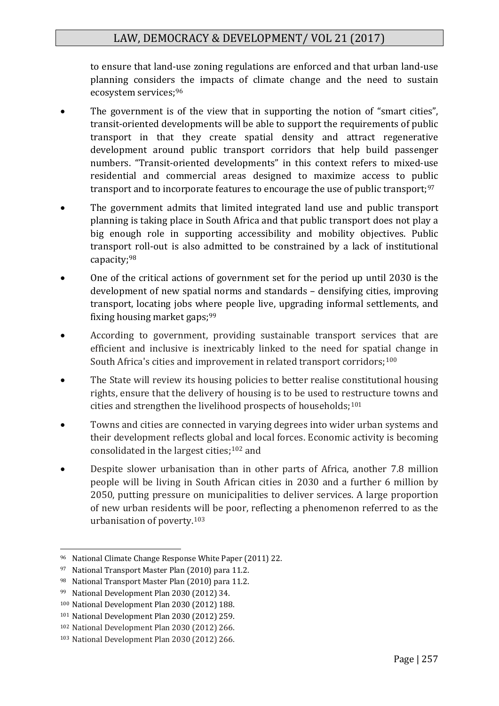to ensure that land-use zoning regulations are enforced and that urban land-use planning considers the impacts of climate change and the need to sustain ecosystem services; [96](#page-18-0)

- The government is of the view that in supporting the notion of "smart cities", transit-oriented developments will be able to support the requirements of public transport in that they create spatial density and attract regenerative development around public transport corridors that help build passenger numbers. "Transit-oriented developments" in this context refers to mixed-use residential and commercial areas designed to maximize access to public transport and to incorporate features to encourage the use of public transport;<sup>[97](#page-18-1)</sup>
- The government admits that limited integrated land use and public transport planning is taking place in South Africa and that public transport does not play a big enough role in supporting accessibility and mobility objectives. Public transport roll-out is also admitted to be constrained by a lack of institutional capacity;[98](#page-18-2)
- One of the critical actions of government set for the period up until 2030 is the development of new spatial norms and standards – densifying cities, improving transport, locating jobs where people live, upgrading informal settlements, and fixing housing market gaps; [99](#page-18-3)
- According to government, providing sustainable transport services that are efficient and inclusive is inextricably linked to the need for spatial change in South Africa's cities and improvement in related transport corridors;<sup>[100](#page-18-4)</sup>
- The State will review its housing policies to better realise constitutional housing rights, ensure that the delivery of housing is to be used to restructure towns and cities and strengthen the livelihood prospects of households;<sup>[101](#page-18-5)</sup>
- Towns and cities are connected in varying degrees into wider urban systems and their development reflects global and local forces. Economic activity is becoming consolidated in the largest cities;[102](#page-18-6) and
- Despite slower urbanisation than in other parts of Africa, another 7.8 million people will be living in South African cities in 2030 and a further 6 million by 2050, putting pressure on municipalities to deliver services. A large proportion of new urban residents will be poor, reflecting a phenomenon referred to as the urbanisation of poverty.[103](#page-18-7)

<span id="page-18-0"></span><sup>96</sup> National Climate Change Response White Paper (2011) 22.

<span id="page-18-1"></span><sup>97</sup> National Transport Master Plan (2010) para 11.2.

<span id="page-18-2"></span><sup>98</sup> National Transport Master Plan (2010) para 11.2.

<span id="page-18-3"></span><sup>99</sup> National Development Plan 2030 (2012) 34.

<span id="page-18-4"></span><sup>100</sup> National Development Plan 2030 (2012) 188.

<span id="page-18-5"></span><sup>101</sup> National Development Plan 2030 (2012) 259.

<span id="page-18-6"></span><sup>102</sup> National Development Plan 2030 (2012) 266.

<span id="page-18-7"></span><sup>103</sup> National Development Plan 2030 (2012) 266.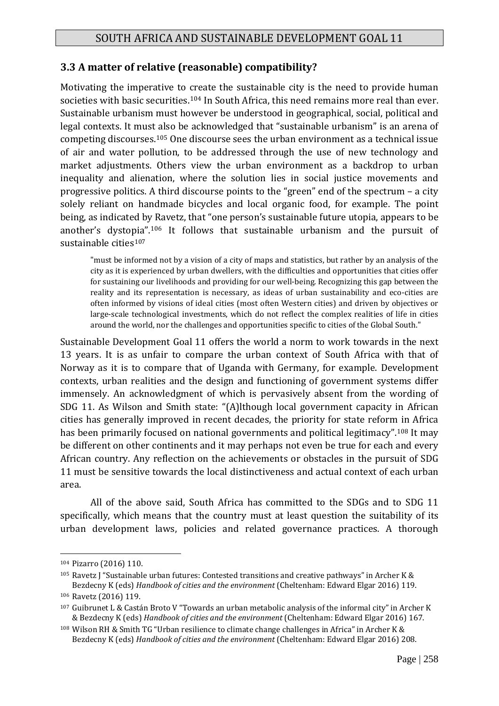#### **3.3 A matter of relative (reasonable) compatibility?**

Motivating the imperative to [cre](#page-19-0)ate the sustainable city is the need to provide human societies with basic securities.<sup>104</sup> In South Africa, this need remains more real than ever. Sustainable urbanism must however be understood in geographical, social, political and legal contexts. It must [als](#page-19-1)o be acknowledged that "sustainable urbanism" is an arena of competing discourses.<sup>105</sup> One discourse sees the urban environment as a technical issue of air and water pollution, to be addressed through the use of new technology and market adjustments. Others view the urban environment as a backdrop to urban inequality and alienation, where the solution lies in social justice movements and progressive politics. A third discourse points to the "green" end of the spectrum – a city solely reliant on handmade bicycles and local organic food, for example. The point being, as indicated b[y Ra](#page-19-2)vetz, that "one person's sustainable future utopia, appears to be another's dystopia". <sup>106</sup> It follows that sustainable urbanism and the pursuit of sustainable cities<sup>[107](#page-19-3)</sup>

"must be informed not by a vision of a city of maps and statistics, but rather by an analysis of the city as it is experienced by urban dwellers, with the difficulties and opportunities that cities offer for sustaining our livelihoods and providing for our well-being. Recognizing this gap between the reality and its representation is necessary, as ideas of urban sustainability and eco-cities are often informed by visions of ideal cities (most often Western cities) and driven by objectives or large-scale technological investments, which do not reflect the complex realities of life in cities around the world, nor the challenges and opportunities specific to cities of the Global South."

Sustainable Development Goal 11 offers the world a norm to work towards in the next 13 years. It is as unfair to compare the urban context of South Africa with that of Norway as it is to compare that of Uganda with Germany, for example. Development contexts, urban realities and the design and functioning of government systems differ immensely. An acknowledgment of which is pervasively absent from the wording of SDG 11. As Wilson and Smith state: "(A)lthough local government capacity in African cities has generally improved in recent decades, the priority for state reform in Africa has been primarily focused on national governments and political legitimacy".<sup>[108](#page-19-4)</sup> It may be different on other continents and it may perhaps not even be true for each and every African country. Any reflection on the achievements or obstacles in the pursuit of SDG 11 must be sensitive towards the local distinctiveness and actual context of each urban area.

All of the above said, South Africa has committed to the SDGs and to SDG 11 specifically, which means that the country must at least question the suitability of its urban development laws, policies and related governance practices. A thorough

<span id="page-19-0"></span><sup>104</sup> Pizarro (2016) 110.

<span id="page-19-1"></span><sup>105</sup> Ravetz J "Sustainable urban futures: Contested transitions and creative pathways" in Archer K & Bezdecny K (eds) *Handbook of cities and the environment* (Cheltenham: Edward Elgar 2016) 119.

<span id="page-19-2"></span><sup>106</sup> Ravetz (2016) 119.

<span id="page-19-3"></span><sup>107</sup> Guibrunet L & Castán Broto V "Towards an urban metabolic analysis of the informal city" in Archer K & Bezdecny K (eds) *Handbook of cities and the environment* (Cheltenham: Edward Elgar 2016) 167.

<span id="page-19-4"></span><sup>108</sup> Wilson RH & Smith TG "Urban resilience to climate change challenges in Africa" in Archer K & Bezdecny K (eds) *Handbook of cities and the environment* (Cheltenham: Edward Elgar 2016) 208.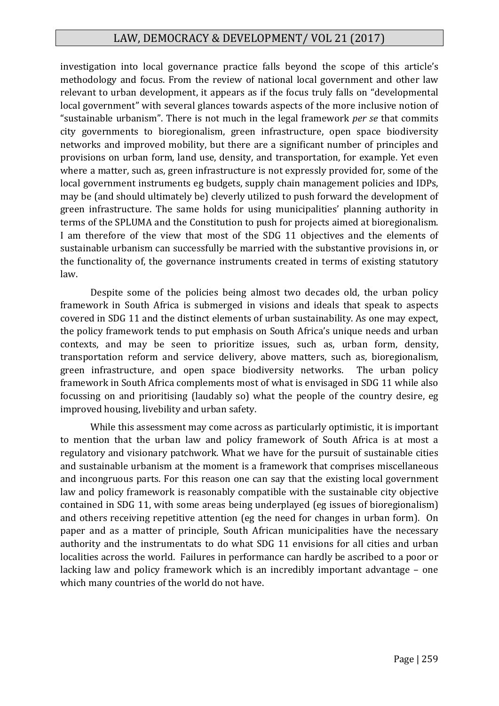investigation into local governance practice falls beyond the scope of this article's methodology and focus. From the review of national local government and other law relevant to urban development, it appears as if the focus truly falls on "developmental local government" with several glances towards aspects of the more inclusive notion of "sustainable urbanism". There is not much in the legal framework *per se* that commits city governments to bioregionalism, green infrastructure, open space biodiversity networks and improved mobility, but there are a significant number of principles and provisions on urban form, land use, density, and transportation, for example. Yet even where a matter, such as, green infrastructure is not expressly provided for, some of the local government instruments eg budgets, supply chain management policies and IDPs, may be (and should ultimately be) cleverly utilized to push forward the development of green infrastructure. The same holds for using municipalities' planning authority in terms of the SPLUMA and the Constitution to push for projects aimed at bioregionalism. I am therefore of the view that most of the SDG 11 objectives and the elements of sustainable urbanism can successfully be married with the substantive provisions in, or the functionality of, the governance instruments created in terms of existing statutory law.

Despite some of the policies being almost two decades old, the urban policy framework in South Africa is submerged in visions and ideals that speak to aspects covered in SDG 11 and the distinct elements of urban sustainability. As one may expect, the policy framework tends to put emphasis on South Africa's unique needs and urban contexts, and may be seen to prioritize issues, such as, urban form, density, transportation reform and service delivery, above matters, such as, bioregionalism, green infrastructure, and open space biodiversity networks. The urban policy framework in South Africa complements most of what is envisaged in SDG 11 while also focussing on and prioritising (laudably so) what the people of the country desire, eg improved housing, livebility and urban safety.

While this assessment may come across as particularly optimistic, it is important to mention that the urban law and policy framework of South Africa is at most a regulatory and visionary patchwork. What we have for the pursuit of sustainable cities and sustainable urbanism at the moment is a framework that comprises miscellaneous and incongruous parts. For this reason one can say that the existing local government law and policy framework is reasonably compatible with the sustainable city objective contained in SDG 11, with some areas being underplayed (eg issues of bioregionalism) and others receiving repetitive attention (eg the need for changes in urban form). On paper and as a matter of principle, South African municipalities have the necessary authority and the instrumentats to do what SDG 11 envisions for all cities and urban localities across the world. Failures in performance can hardly be ascribed to a poor or lacking law and policy framework which is an incredibly important advantage – one which many countries of the world do not have.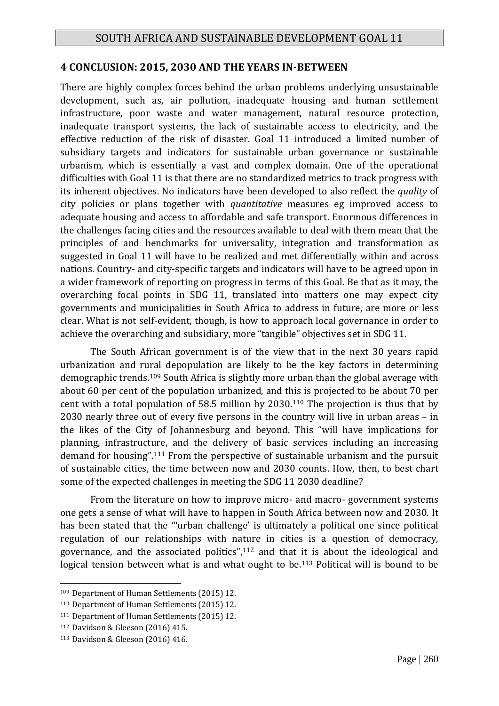#### **4 CONCLUSION: 2015, 2030 AND THE YEARS IN-BETWEEN**

There are highly complex forces behind the urban problems underlying unsustainable development, such as, air pollution, inadequate housing and human settlement infrastructure, poor waste and water management, natural resource protection, inadequate transport systems, the lack of sustainable access to electricity, and the effective reduction of the risk of disaster. Goal 11 introduced a limited number of subsidiary targets and indicators for sustainable urban governance or sustainable urbanism, which is essentially a vast and complex domain. One of the operational difficulties with Goal 11 is that there are no standardized metrics to track progress with its inherent objectives. No indicators have been developed to also reflect the *quality* of city policies or plans together with *quantitative* measures eg improved access to adequate housing and access to affordable and safe transport. Enormous differences in the challenges facing cities and the resources available to deal with them mean that the principles of and benchmarks for universality, integration and transformation as suggested in Goal 11 will have to be realized and met differentially within and across nations. Country- and city-specific targets and indicators will have to be agreed upon in a wider framework of reporting on progress in terms of this Goal. Be that as it may, the overarching focal points in SDG 11, translated into matters one may expect city governments and municipalities in South Africa to address in future, are more or less clear. What is not self-evident, though, is how to approach local governance in order to achieve the overarching and subsidiary, more "tangible" objectives set in SDG 11.

The South African government is of the view that in the next 30 years rapid urbanization and rural depopulation are likely to be the key factors in determining demographic trends.[109](#page-21-0) South Africa is slightly more urban than the global average with about 60 per cent of the population urbanized, and this is projected to be about 70 per cent with a total population of 58.5 million by 2030.[110](#page-21-1) The projection is thus that by 2030 nearly three out of every five persons in the country will live in urban areas – in the likes of the City of Johannesburg and beyond. This "will have implications for planning, infrastructure, and the delivery of basic services including an increasing demand for housing".[111](#page-21-2) From the perspective of sustainable urbanism and the pursuit of sustainable cities, the time between now and 2030 counts. How, then, to best chart some of the expected challenges in meeting the SDG 11 2030 deadline?

From the literature on how to improve micro- and macro- government systems one gets a sense of what will have to happen in South Africa between now and 2030. It has been stated that the "'urban challenge' is ultimately a political one since political regulation of our relationships with na[tur](#page-21-3)e in cities is a question of democracy, governance, and the associated politics", <sup>112</sup> and that it is about the ideological and logical tension between what is and what ought to be.<sup>[113](#page-21-4)</sup> Political will is bound to be

<u>.</u>

<span id="page-21-0"></span><sup>109</sup> Department of Human Settlements (2015) 12.

<span id="page-21-1"></span><sup>110</sup> Department of Human Settlements (2015) 12.

<span id="page-21-2"></span><sup>111</sup> Department of Human Settlements (2015) 12.

<span id="page-21-3"></span><sup>112</sup> Davidson & Gleeson (2016) 415.

<span id="page-21-4"></span><sup>113</sup> Davidson & Gleeson (2016) 416.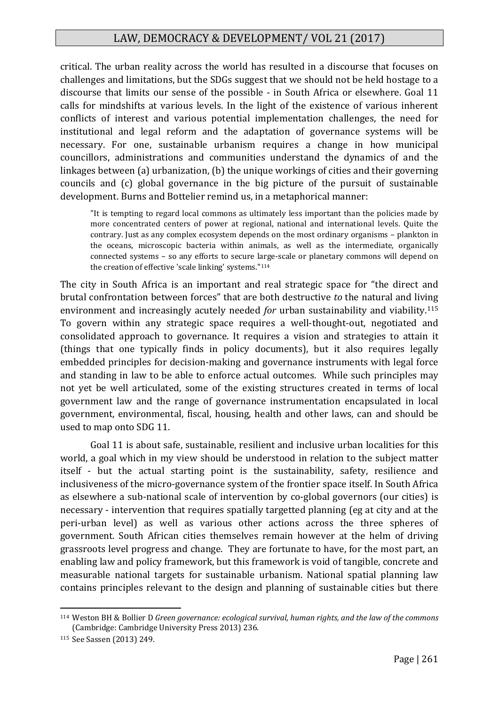critical. The urban reality across the world has resulted in a discourse that focuses on challenges and limitations, but the SDGs suggest that we should not be held hostage to a discourse that limits our sense of the possible - in South Africa or elsewhere. Goal 11 calls for mindshifts at various levels. In the light of the existence of various inherent conflicts of interest and various potential implementation challenges, the need for institutional and legal reform and the adaptation of governance systems will be necessary. For one, sustainable urbanism requires a change in how municipal councillors, administrations and communities understand the dynamics of and the linkages between (a) urbanization, (b) the unique workings of cities and their governing councils and (c) global governance in the big picture of the pursuit of sustainable development. Burns and Bottelier remind us, in a metaphorical manner:

"It is tempting to regard local commons as ultimately less important than the policies made by more concentrated centers of power at regional, national and international levels. Quite the contrary. Just as any complex ecosystem depends on the most ordinary organisms – plankton in the oceans, microscopic bacteria within animals, as well as the intermediate, organically connected systems – so any efforts to secure large-scale or planetary commons will depend on the creation of effective 'scale linking' systems."[114](#page-22-0)

The city in South Africa is an important and real strategic space for "the direct and brutal confrontation between forces" that are both destructive *to* the natural and living environment and increasingly acutely needed *for* urban sustainability and viability.[115](#page-22-1) To govern within any strategic space requires a well-thought-out, negotiated and consolidated approach to governance. It requires a vision and strategies to attain it (things that one typically finds in policy documents), but it also requires legally embedded principles for decision-making and governance instruments with legal force and standing in law to be able to enforce actual outcomes. While such principles may not yet be well articulated, some of the existing structures created in terms of local government law and the range of governance instrumentation encapsulated in local government, environmental, fiscal, housing, health and other laws, can and should be used to map onto SDG 11.

Goal 11 is about safe, sustainable, resilient and inclusive urban localities for this world, a goal which in my view should be understood in relation to the subject matter itself - but the actual starting point is the sustainability, safety, resilience and inclusiveness of the micro-governance system of the frontier space itself. In South Africa as elsewhere a sub-national scale of intervention by co-global governors (our cities) is necessary - intervention that requires spatially targetted planning (eg at city and at the peri-urban level) as well as various other actions across the three spheres of government. South African cities themselves remain however at the helm of driving grassroots level progress and change. They are fortunate to have, for the most part, an enabling law and policy framework, but this framework is void of tangible, concrete and measurable national targets for sustainable urbanism. National spatial planning law contains principles relevant to the design and planning of sustainable cities but there

<u>.</u>

<span id="page-22-0"></span><sup>114</sup> Weston BH & Bollier D *Green governance: ecological survival, human rights, and the law of the commons*  (Cambridge: Cambridge University Press 2013) 236.

<span id="page-22-1"></span><sup>115</sup> See Sassen (2013) 249.